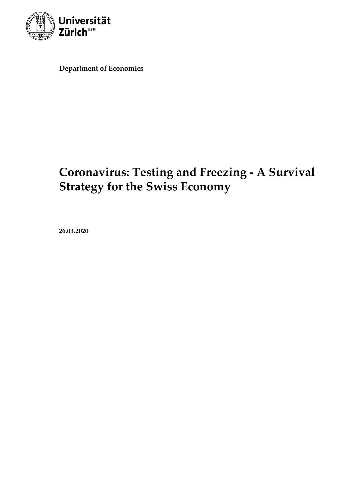

**Department of Economics**

# **Coronavirus: Testing and Freezing - A Survival Strategy for the Swiss Economy**

**26.03.2020**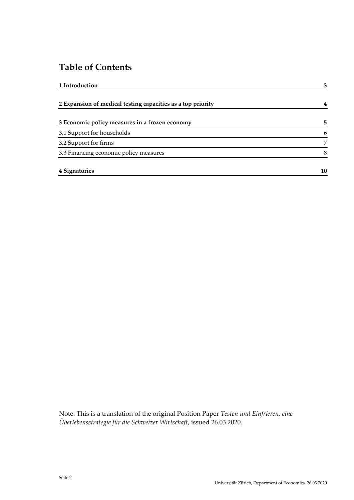## **Table of Contents**

| 1 Introduction                                              | 3  |
|-------------------------------------------------------------|----|
| 2 Expansion of medical testing capacities as a top priority | 4  |
| 3 Economic policy measures in a frozen economy              | 5  |
| 3.1 Support for households                                  | 6  |
| 3.2 Support for firms                                       | 7  |
| 3.3 Financing economic policy measures                      | 8  |
| 4 Signatories                                               | 10 |

Note: This is a translation of the original Position Paper *Testen und Einfrieren, eine Überlebensstrategie für die Schweizer Wirtschaft*, issued 26.03.2020.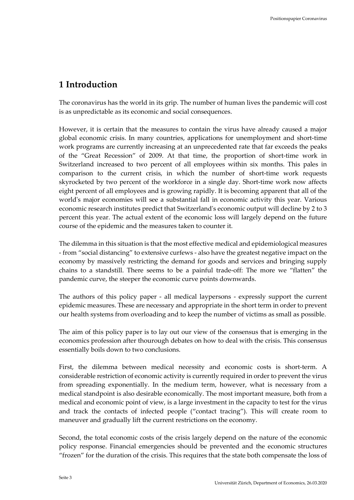### <span id="page-2-0"></span>**1 Introduction**

The coronavirus has the world in its grip. The number of human lives the pandemic will cost is as unpredictable as its economic and social consequences.

However, it is certain that the measures to contain the virus have already caused a major global economic crisis. In many countries, applications for unemployment and short-time work programs are currently increasing at an unprecedented rate that far exceeds the peaks of the "Great Recession" of 2009. At that time, the proportion of short-time work in Switzerland increased to two percent of all employees within six months. This pales in comparison to the current crisis, in which the number of short-time work requests skyrocketed by two percent of the workforce in a single day. Short-time work now affects eight percent of all employees and is growing rapidly. It is becoming apparent that all of the world's major economies will see a substantial fall in economic activity this year. Various economic research institutes predict that Switzerland's economic output will decline by 2 to 3 percent this year. The actual extent of the economic loss will largely depend on the future course of the epidemic and the measures taken to counter it.

The dilemma in this situation is that the most effective medical and epidemiological measures - from "social distancing" to extensive curfews - also have the greatest negative impact on the economy by massively restricting the demand for goods and services and bringing supply chains to a standstill. There seems to be a painful trade-off: The more we "flatten" the pandemic curve, the steeper the economic curve points downwards.

The authors of this policy paper - all medical laypersons - expressly support the current epidemic measures. These are necessary and appropriate in the short term in order to prevent our health systems from overloading and to keep the number of victims as small as possible.

The aim of this policy paper is to lay out our view of the consensus that is emerging in the economics profession after thourough debates on how to deal with the crisis. This consensus essentially boils down to two conclusions.

First, the dilemma between medical necessity and economic costs is short-term. A considerable restriction of economic activity is currently required in order to prevent the virus from spreading exponentially. In the medium term, however, what is necessary from a medical standpoint is also desirable economically. The most important measure, both from a medical and economic point of view, is a large investment in the capacity to test for the virus and track the contacts of infected people ("contact tracing"). This will create room to maneuver and gradually lift the current restrictions on the economy.

Second, the total economic costs of the crisis largely depend on the nature of the economic policy response. Financial emergencies should be prevented and the economic structures "frozen" for the duration of the crisis. This requires that the state both compensate the loss of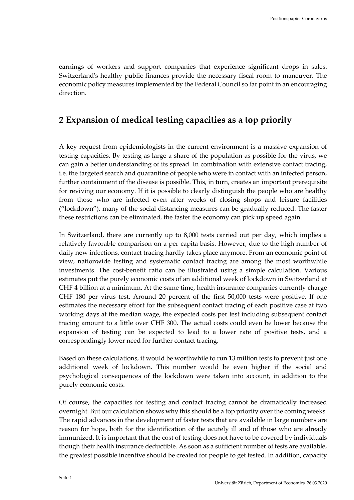earnings of workers and support companies that experience significant drops in sales. Switzerland's healthy public finances provide the necessary fiscal room to maneuver. The economic policy measures implemented by the Federal Council so far point in an encouraging direction.

### <span id="page-3-0"></span>**2 Expansion of medical testing capacities as a top priority**

A key request from epidemiologists in the current environment is a massive expansion of testing capacities. By testing as large a share of the population as possible for the virus, we can gain a better understanding of its spread. In combination with extensive contact tracing, i.e. the targeted search and quarantine of people who were in contact with an infected person, further containment of the disease is possible. This, in turn, creates an important prerequisite for reviving our economy. If it is possible to clearly distinguish the people who are healthy from those who are infected even after weeks of closing shops and leisure facilities ("lockdown"), many of the social distancing measures can be gradually reduced. The faster these restrictions can be eliminated, the faster the economy can pick up speed again.

In Switzerland, there are currently up to 8,000 tests carried out per day, which implies a relatively favorable comparison on a per-capita basis. However, due to the high number of daily new infections, contact tracing hardly takes place anymore. From an economic point of view, nationwide testing and systematic contact tracing are among the most worthwhile investments. The cost-benefit ratio can be illustrated using a simple calculation. Various estimates put the purely economic costs of an additional week of lockdown in Switzerland at CHF 4 billion at a minimum. At the same time, health insurance companies currently charge CHF 180 per virus test. Around 20 percent of the first 50,000 tests were positive. If one estimates the necessary effort for the subsequent contact tracing of each positive case at two working days at the median wage, the expected costs per test including subsequent contact tracing amount to a little over CHF 300. The actual costs could even be lower because the expansion of testing can be expected to lead to a lower rate of positive tests, and a correspondingly lower need for further contact tracing.

Based on these calculations, it would be worthwhile to run 13 million tests to prevent just one additional week of lockdown. This number would be even higher if the social and psychological consequences of the lockdown were taken into account, in addition to the purely economic costs.

Of course, the capacities for testing and contact tracing cannot be dramatically increased overnight. But our calculation shows why this should be a top priority over the coming weeks. The rapid advances in the development of faster tests that are available in large numbers are reason for hope, both for the identification of the acutely ill and of those who are already immunized. It is important that the cost of testing does not have to be covered by individuals though their health insurance deductible. As soon as a sufficient number of tests are available, the greatest possible incentive should be created for people to get tested. In addition, capacity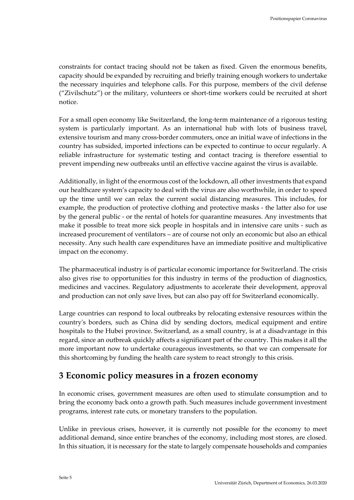constraints for contact tracing should not be taken as fixed. Given the enormous benefits, capacity should be expanded by recruiting and briefly training enough workers to undertake the necessary inquiries and telephone calls. For this purpose, members of the civil defense ("Zivilschutz") or the military, volunteers or short-time workers could be recruited at short notice.

For a small open economy like Switzerland, the long-term maintenance of a rigorous testing system is particularly important. As an international hub with lots of business travel, extensive tourism and many cross-border commuters, once an initial wave of infections in the country has subsided, imported infections can be expected to continue to occur regularly. A reliable infrastructure for systematic testing and contact tracing is therefore essential to prevent impending new outbreaks until an effective vaccine against the virus is available.

Additionally, in light of the enormous cost of the lockdown, all other investments that expand our healthcare system's capacity to deal with the virus are also worthwhile, in order to speed up the time until we can relax the current social distancing measures. This includes, for example, the production of protective clothing and protective masks - the latter also for use by the general public - or the rental of hotels for quarantine measures. Any investments that make it possible to treat more sick people in hospitals and in intensive care units - such as increased procurement of ventilators – are of course not only an economic but also an ethical necessity. Any such health care expenditures have an immediate positive and multiplicative impact on the economy.

The pharmaceutical industry is of particular economic importance for Switzerland. The crisis also gives rise to opportunities for this industry in terms of the production of diagnostics, medicines and vaccines. Regulatory adjustments to accelerate their development, approval and production can not only save lives, but can also pay off for Switzerland economically.

Large countries can respond to local outbreaks by relocating extensive resources within the country's borders, such as China did by sending doctors, medical equipment and entire hospitals to the Hubei province. Switzerland, as a small country, is at a disadvantage in this regard, since an outbreak quickly affects a significant part of the country. This makes it all the more important now to undertake courageous investments, so that we can compensate for this shortcoming by funding the health care system to react strongly to this crisis.

#### <span id="page-4-0"></span>**3 Economic policy measures in a frozen economy**

In economic crises, government measures are often used to stimulate consumption and to bring the economy back onto a growth path. Such measures include government investment programs, interest rate cuts, or monetary transfers to the population.

Unlike in previous crises, however, it is currently not possible for the economy to meet additional demand, since entire branches of the economy, including most stores, are closed. In this situation, it is necessary for the state to largely compensate households and companies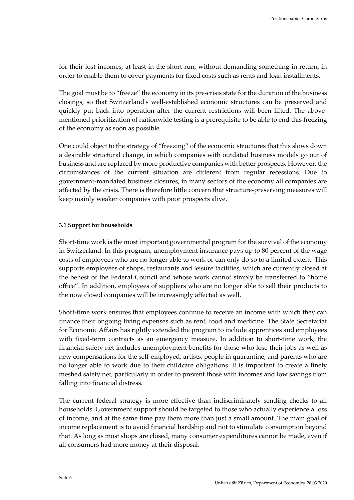for their lost incomes, at least in the short run, without demanding something in return, in order to enable them to cover payments for fixed costs such as rents and loan installments.

The goal must be to "freeze" the economy in its pre-crisis state for the duration of the business closings, so that Switzerland's well-established economic structures can be preserved and quickly put back into operation after the current restrictions will been lifted. The abovementioned prioritization of nationwide testing is a prerequisite to be able to end this freezing of the economy as soon as possible.

One could object to the strategy of "freezing" of the economic structures that this slows down a desirable structural change, in which companies with outdated business models go out of business and are replaced by more productive companies with better prospects. However, the circumstances of the current situation are different from regular recessions. Due to government-mandated business closures, in many sectors of the economy all companies are affected by the crisis. There is therefore little concern that structure-preserving measures will keep mainly weaker companies with poor prospects alive.

#### <span id="page-5-0"></span>**3.1 Support for households**

Short-time work is the most important governmental program for the survival of the economy in Switzerland. In this program, unemployment insurance pays up to 80 percent of the wage costs of employees who are no longer able to work or can only do so to a limited extent. This supports employees of shops, restaurants and leisure facilities, which are currently closed at the behest of the Federal Council and whose work cannot simply be transferred to "home office". In addition, employees of suppliers who are no longer able to sell their products to the now closed companies will be increasingly affected as well.

Short-time work ensures that employees continue to receive an income with which they can finance their ongoing living expenses such as rent, food and medicine. The State Secretariat for Economic Affairs has rightly extended the program to include apprentices and employees with fixed-term contracts as an emergency measure. In addition to short-time work, the financial safety net includes unemployment benefits for those who lose their jobs as well as new compensations for the self-employed, artists, people in quarantine, and parents who are no longer able to work due to their childcare obligations. It is important to create a finely meshed safety net, particularly in order to prevent those with incomes and low savings from falling into financial distress.

The current federal strategy is more effective than indiscriminately sending checks to all households. Government support should be targeted to those who actually experience a loss of income, and at the same time pay them more than just a small amount. The main goal of income replacement is to avoid financial hardship and not to stimulate consumption beyond that. As long as most shops are closed, many consumer expenditures cannot be made, even if all consumers had more money at their disposal.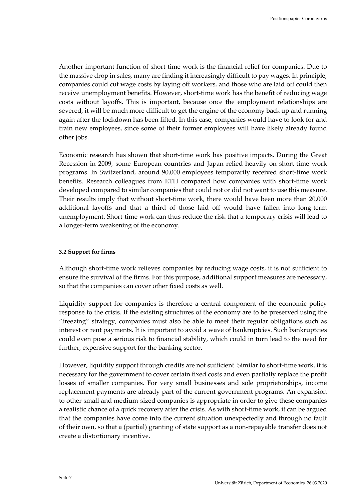Another important function of short-time work is the financial relief for companies. Due to the massive drop in sales, many are finding it increasingly difficult to pay wages. In principle, companies could cut wage costs by laying off workers, and those who are laid off could then receive unemployment benefits. However, short-time work has the benefit of reducing wage costs without layoffs. This is important, because once the employment relationships are severed, it will be much more difficult to get the engine of the economy back up and running again after the lockdown has been lifted. In this case, companies would have to look for and train new employees, since some of their former employees will have likely already found other jobs.

Economic research has shown that short-time work has positive impacts. During the Great Recession in 2009, some European countries and Japan relied heavily on short-time work programs. In Switzerland, around 90,000 employees temporarily received short-time work benefits. Research colleagues from ETH compared how companies with short-time work developed compared to similar companies that could not or did not want to use this measure. Their results imply that without short-time work, there would have been more than 20,000 additional layoffs and that a third of those laid off would have fallen into long-term unemployment. Short-time work can thus reduce the risk that a temporary crisis will lead to a longer-term weakening of the economy.

#### <span id="page-6-0"></span>**3.2 Support for firms**

Although short-time work relieves companies by reducing wage costs, it is not sufficient to ensure the survival of the firms. For this purpose, additional support measures are necessary, so that the companies can cover other fixed costs as well.

Liquidity support for companies is therefore a central component of the economic policy response to the crisis. If the existing structures of the economy are to be preserved using the "freezing" strategy, companies must also be able to meet their regular obligations such as interest or rent payments. It is important to avoid a wave of bankruptcies. Such bankruptcies could even pose a serious risk to financial stability, which could in turn lead to the need for further, expensive support for the banking sector.

However, liquidity support through credits are not sufficient. Similar to short-time work, it is necessary for the government to cover certain fixed costs and even partially replace the profit losses of smaller companies. For very small businesses and sole proprietorships, income replacement payments are already part of the current government programs. An expansion to other small and medium-sized companies is appropriate in order to give these companies a realistic chance of a quick recovery after the crisis. As with short-time work, it can be argued that the companies have come into the current situation unexpectedly and through no fault of their own, so that a (partial) granting of state support as a non-repayable transfer does not create a distortionary incentive.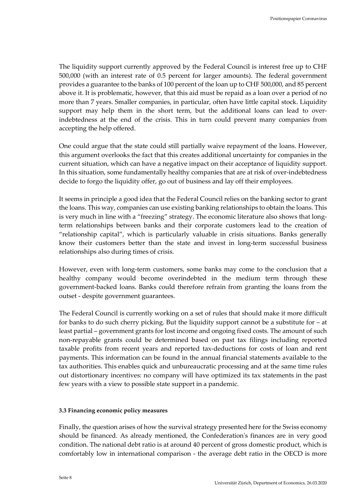The liquidity support currently approved by the Federal Council is interest free up to CHF 500,000 (with an interest rate of 0.5 percent for larger amounts). The federal government provides a guarantee to the banks of 100 percent of the loan up to CHF 500,000, and 85 percent above it. It is problematic, however, that this aid must be repaid as a loan over a period of no more than 7 years. Smaller companies, in particular, often have little capital stock. Liquidity support may help them in the short term, but the additional loans can lead to overindebtedness at the end of the crisis. This in turn could prevent many companies from accepting the help offered.

One could argue that the state could still partially waive repayment of the loans. However, this argument overlooks the fact that this creates additional uncertainty for companies in the current situation, which can have a negative impact on their acceptance of liquidity support. In this situation, some fundamentally healthy companies that are at risk of over-indebtedness decide to forgo the liquidity offer, go out of business and lay off their employees.

It seems in principle a good idea that the Federal Council relies on the banking sector to grant the loans. This way, companies can use existing banking relationships to obtain the loans. This is very much in line with a "freezing" strategy. The economic literature also shows that longterm relationships between banks and their corporate customers lead to the creation of "relationship capital", which is particularly valuable in crisis situations. Banks generally know their customers better than the state and invest in long-term successful business relationships also during times of crisis.

However, even with long-term customers, some banks may come to the conclusion that a healthy company would become overindebted in the medium term through these government-backed loans. Banks could therefore refrain from granting the loans from the outset - despite government guarantees.

The Federal Council is currently working on a set of rules that should make it more difficult for banks to do such cherry picking. But the liquidity support cannot be a substitute for – at least partial – government grants for lost income and ongoing fixed costs. The amount of such non-repayable grants could be determined based on past tax filings including reported taxable profits from recent years and reported tax-deductions for costs of loan and rent payments. This information can be found in the annual financial statements available to the tax authorities. This enables quick and unbureaucratic processing and at the same time rules out distortionary incentives: no company will have optimized its tax statements in the past few years with a view to possible state support in a pandemic.

#### <span id="page-7-0"></span>**3.3 Financing economic policy measures**

Finally, the question arises of how the survival strategy presented here for the Swiss economy should be financed. As already mentioned, the Confederation's finances are in very good condition. The national debt ratio is at around 40 percent of gross domestic product, which is comfortably low in international comparison - the average debt ratio in the OECD is more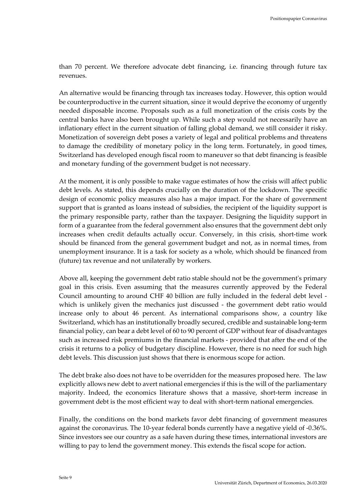than 70 percent. We therefore advocate debt financing, i.e. financing through future tax revenues.

An alternative would be financing through tax increases today. However, this option would be counterproductive in the current situation, since it would deprive the economy of urgently needed disposable income. Proposals such as a full monetization of the crisis costs by the central banks have also been brought up. While such a step would not necessarily have an inflationary effect in the current situation of falling global demand, we still consider it risky. Monetization of sovereign debt poses a variety of legal and political problems and threatens to damage the credibility of monetary policy in the long term. Fortunately, in good times, Switzerland has developed enough fiscal room to maneuver so that debt financing is feasible and monetary funding of the government budget is not necessary.

At the moment, it is only possible to make vague estimates of how the crisis will affect public debt levels. As stated, this depends crucially on the duration of the lockdown. The specific design of economic policy measures also has a major impact. For the share of government support that is granted as loans instead of subsidies, the recipient of the liquidity support is the primary responsible party, rather than the taxpayer. Designing the liquidity support in form of a guarantee from the federal government also ensures that the government debt only increases when credit defaults actually occur. Conversely, in this crisis, short-time work should be financed from the general government budget and not, as in normal times, from unemployment insurance. It is a task for society as a whole, which should be financed from (future) tax revenue and not unilaterally by workers.

Above all, keeping the government debt ratio stable should not be the government's primary goal in this crisis. Even assuming that the measures currently approved by the Federal Council amounting to around CHF 40 billion are fully included in the federal debt level which is unlikely given the mechanics just discussed - the government debt ratio would increase only to about 46 percent. As international comparisons show, a country like Switzerland, which has an institutionally broadly secured, credible and sustainable long-term financial policy, can bear a debt level of 60 to 90 percent of GDP without fear of disadvantages such as increased risk premiums in the financial markets - provided that after the end of the crisis it returns to a policy of budgetary discipline. However, there is no need for such high debt levels. This discussion just shows that there is enormous scope for action.

The debt brake also does not have to be overridden for the measures proposed here. The law explicitly allows new debt to avert national emergencies if this is the will of the parliamentary majority. Indeed, the economics literature shows that a massive, short-term increase in government debt is the most efficient way to deal with short-term national emergencies.

Finally, the conditions on the bond markets favor debt financing of government measures against the coronavirus. The 10-year federal bonds currently have a negative yield of -0.36%. Since investors see our country as a safe haven during these times, international investors are willing to pay to lend the government money. This extends the fiscal scope for action.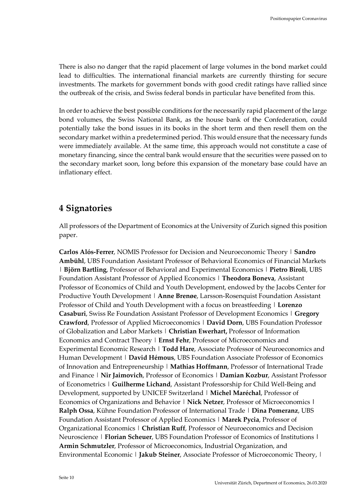There is also no danger that the rapid placement of large volumes in the bond market could lead to difficulties. The international financial markets are currently thirsting for secure investments. The markets for government bonds with good credit ratings have rallied since the outbreak of the crisis, and Swiss federal bonds in particular have benefited from this.

In order to achieve the best possible conditions for the necessarily rapid placement of the large bond volumes, the Swiss National Bank, as the house bank of the Confederation, could potentially take the bond issues in its books in the short term and then resell them on the secondary market within a predetermined period. This would ensure that the necessary funds were immediately available. At the same time, this approach would not constitute a case of monetary financing, since the central bank would ensure that the securities were passed on to the secondary market soon, long before this expansion of the monetary base could have an inflationary effect.

### <span id="page-9-0"></span>**4 Signatories**

All professors of the Department of Economics at the University of Zurich signed this position paper.

**Carlos Alós-Ferrer**, NOMIS Professor for Decision and Neuroeconomic Theory | **Sandro Ambühl**, UBS Foundation Assistant Professor of Behavioral Economics of Financial Markets | **Björn Bartling**, Professor of Behavioral and Experimental Economics | **Pietro Biroli**, UBS Foundation Assistant Professor of Applied Economics | **Theodora Boneva**, Assistant Professor of Economics of Child and Youth Development, endowed by the Jacobs Center for Productive Youth Development | **Anne Brenøe**, Larsson-Rosenquist Foundation Assistant Professor of Child and Youth Development with a focus on breastfeeding | **Lorenzo Casaburi**, Swiss Re Foundation Assistant Professor of Development Economics | **Gregory Crawford**, Professor of Applied Microeconomics | **David Dorn**, UBS Foundation Professor of Globalization and Labor Markets | **Christian Ewerhart,** Professor of Information Economics and Contract Theory | **Ernst Fehr**, Professor of Microeconomics and Experimental Economic Research | **Todd Hare**, Associate Professor of Neuroeconomics and Human Development | **David Hémous**, UBS Foundation Associate Professor of Economics of Innovation and Entrepreneurship | **Mathias Hoffmann**, Professor of International Trade and Finance | **Nir Jaimovich**, Professor of Economics | **Damian Kozbur**, Assistant Professor of Econometrics | **Guilherme Lichand**, Assistant Professorship for Child Well-Being and Development, supported by UNICEF Switzerland | **Michel Maréchal**, Professor of Economics of Organizations and Behavior | **Nick Netzer**, Professor of Microeconomics **| Ralph Ossa**, Kühne Foundation Professor of International Trade | **Dina Pomeranz**, UBS Foundation Assistant Professor of Applied Economics | **Marek Pycia**, Professor of Organizational Economics | **Christian Ruff**, Professor of Neuroeconomics and Decision Neuroscience | **Florian Scheuer**, UBS Foundation Professor of Economics of Institutions **| Armin Schmutzler**, Professor of Microeconomics, Industrial Organization, and Environmental Economic | **Jakub Steiner**, Associate Professor of Microeconomic Theory, |